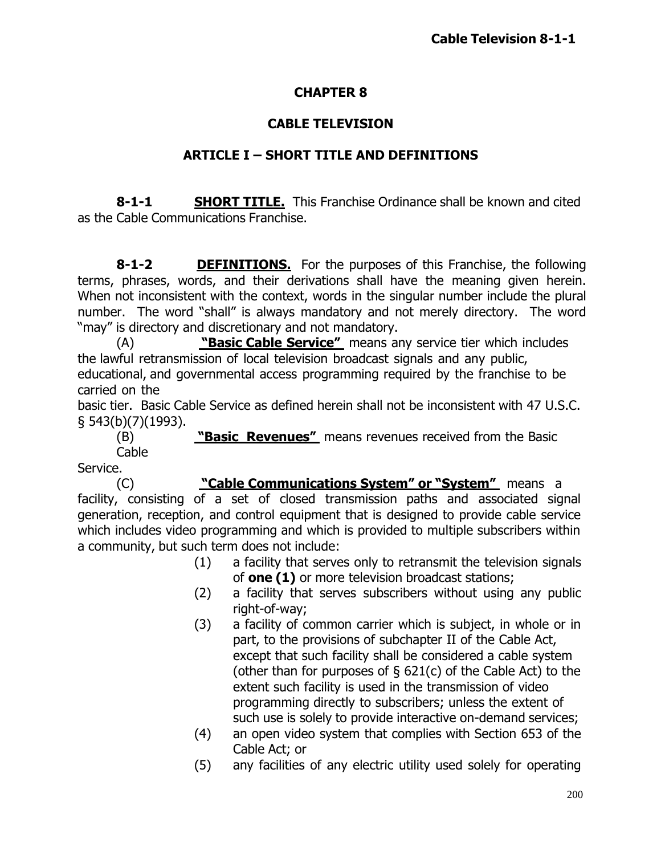# **CHAPTER 8**

# **CABLE TELEVISION**

# **ARTICLE I – SHORT TITLE AND DEFINITIONS**

**8-1-1 SHORT TITLE.** This Franchise Ordinance shall be known and cited as the Cable Communications Franchise.

**8-1-2 DEFINITIONS.** For the purposes of this Franchise, the following terms, phrases, words, and their derivations shall have the meaning given herein. When not inconsistent with the context, words in the singular number include the plural number. The word "shall" is always mandatory and not merely directory. The word "may" is directory and discretionary and not mandatory.

(A) **"Basic Cable Service"** means any service tier which includes the lawful retransmission of local television broadcast signals and any public, educational, and governmental access programming required by the franchise to be carried on the

basic tier. Basic Cable Service as defined herein shall not be inconsistent with 47 U.S.C. § 543(b)(7)(1993).

(B) **"Basic Revenues"** means revenues received from the Basic Cable

Service.

(C) **"Cable Communications System" or "System"** means a facility, consisting of a set of closed transmission paths and associated signal generation, reception, and control equipment that is designed to provide cable service which includes video programming and which is provided to multiple subscribers within a community, but such term does not include:

- (1) a facility that serves only to retransmit the television signals of **one (1)** or more television broadcast stations;
- (2) a facility that serves subscribers without using any public right-of-way;
- (3) a facility of common carrier which is subject, in whole or in part, to the provisions of subchapter II of the Cable Act, except that such facility shall be considered a cable system (other than for purposes of  $\S$  621(c) of the Cable Act) to the extent such facility is used in the transmission of video programming directly to subscribers; unless the extent of such use is solely to provide interactive on-demand services;
- (4) an open video system that complies with Section 653 of the Cable Act; or
- (5) any facilities of any electric utility used solely for operating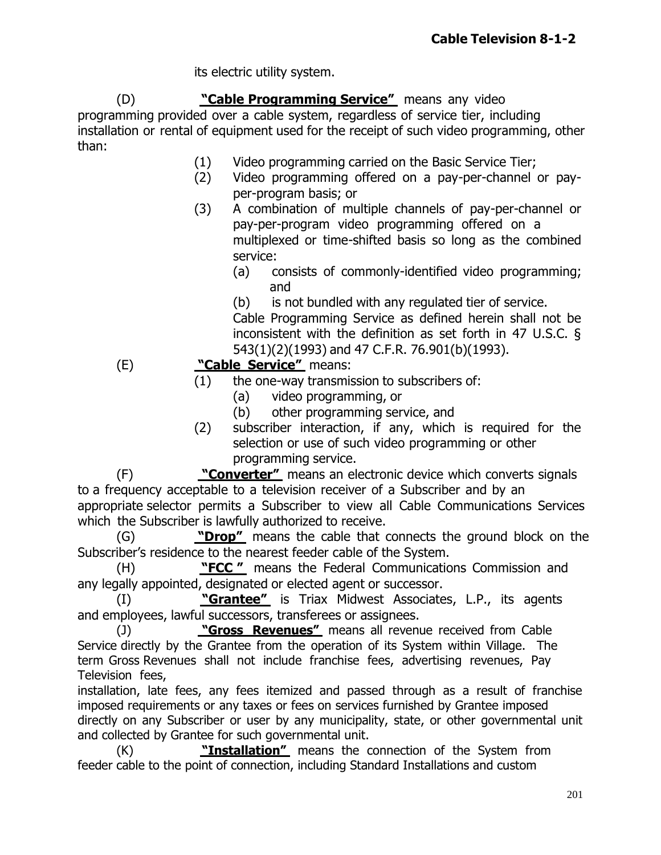its electric utility system.

(D) **"Cable Programming Service"** means any video programming provided over a cable system, regardless of service tier, including installation or rental of equipment used for the receipt of such video programming, other than:

- (1) Video programming carried on the Basic Service Tier;
- (2) Video programming offered on a pay-per-channel or payper-program basis; or
- (3) A combination of multiple channels of pay-per-channel or pay-per-program video programming offered on a multiplexed or time-shifted basis so long as the combined service:
	- (a) consists of commonly-identified video programming; and
	- (b) is not bundled with any regulated tier of service.

Cable Programming Service as defined herein shall not be inconsistent with the definition as set forth in 47 U.S.C. § 543(1)(2)(1993) and 47 C.F.R. 76.901(b)(1993).

# (E) **"Cable Service"** means:

- (1) the one-way transmission to subscribers of:
	- (a) video programming, or
	- (b) other programming service, and
- (2) subscriber interaction, if any, which is required for the selection or use of such video programming or other programming service.

(F) **"Converter"** means an electronic device which converts signals to a frequency acceptable to a television receiver of a Subscriber and by an appropriate selector permits a Subscriber to view all Cable Communications Services which the Subscriber is lawfully authorized to receive.

(G) **"Drop"** means the cable that connects the ground block on the Subscriber's residence to the nearest feeder cable of the System.

(H) **"FCC "** means the Federal Communications Commission and any legally appointed, designated or elected agent or successor.

(I) **"Grantee"** is Triax Midwest Associates, L.P., its agents and employees, lawful successors, transferees or assignees.

(J) **"Gross Revenues"** means all revenue received from Cable Service directly by the Grantee from the operation of its System within Village. The term Gross Revenues shall not include franchise fees, advertising revenues, Pay Television fees,

installation, late fees, any fees itemized and passed through as a result of franchise imposed requirements or any taxes or fees on services furnished by Grantee imposed directly on any Subscriber or user by any municipality, state, or other governmental unit and collected by Grantee for such governmental unit.

(K) **"Installation"** means the connection of the System from feeder cable to the point of connection, including Standard Installations and custom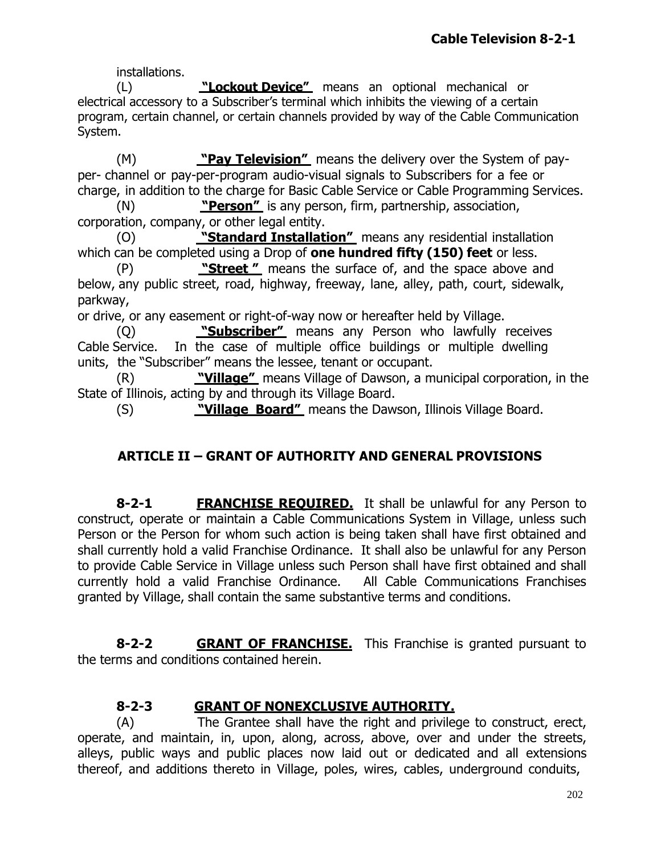installations.

(L) **"Lockout Device"** means an optional mechanical or electrical accessory to a Subscriber's terminal which inhibits the viewing of a certain program, certain channel, or certain channels provided by way of the Cable Communication System.

(M) **"Pay Television"** means the delivery over the System of payper- channel or pay-per-program audio-visual signals to Subscribers for a fee or charge, in addition to the charge for Basic Cable Service or Cable Programming Services.

(N) **"Person"** is any person, firm, partnership, association, corporation, company, or other legal entity.

(O) **"Standard Installation"** means any residential installation which can be completed using a Drop of **one hundred fifty (150) feet** or less.

(P) **"Street "** means the surface of, and the space above and below, any public street, road, highway, freeway, lane, alley, path, court, sidewalk, parkway,

or drive, or any easement or right-of-way now or hereafter held by Village.

(Q) **"Subscriber"** means any Person who lawfully receives Cable Service. In the case of multiple office buildings or multiple dwelling units, the "Subscriber" means the lessee, tenant or occupant.

(R) **"Village"** means Village of Dawson, a municipal corporation, in the State of Illinois, acting by and through its Village Board.

(S) **"Village Board"** means the Dawson, Illinois Village Board.

# **ARTICLE II – GRANT OF AUTHORITY AND GENERAL PROVISIONS**

**8-2-1 FRANCHISE REQUIRED.** It shall be unlawful for any Person to construct, operate or maintain a Cable Communications System in Village, unless such Person or the Person for whom such action is being taken shall have first obtained and shall currently hold a valid Franchise Ordinance. It shall also be unlawful for any Person to provide Cable Service in Village unless such Person shall have first obtained and shall currently hold a valid Franchise Ordinance. All Cable Communications Franchises granted by Village, shall contain the same substantive terms and conditions.

**8-2-2 GRANT OF FRANCHISE.** This Franchise is granted pursuant to the terms and conditions contained herein.

# **8-2-3 GRANT OF NONEXCLUSIVE AUTHORITY.**

(A) The Grantee shall have the right and privilege to construct, erect, operate, and maintain, in, upon, along, across, above, over and under the streets, alleys, public ways and public places now laid out or dedicated and all extensions thereof, and additions thereto in Village, poles, wires, cables, underground conduits,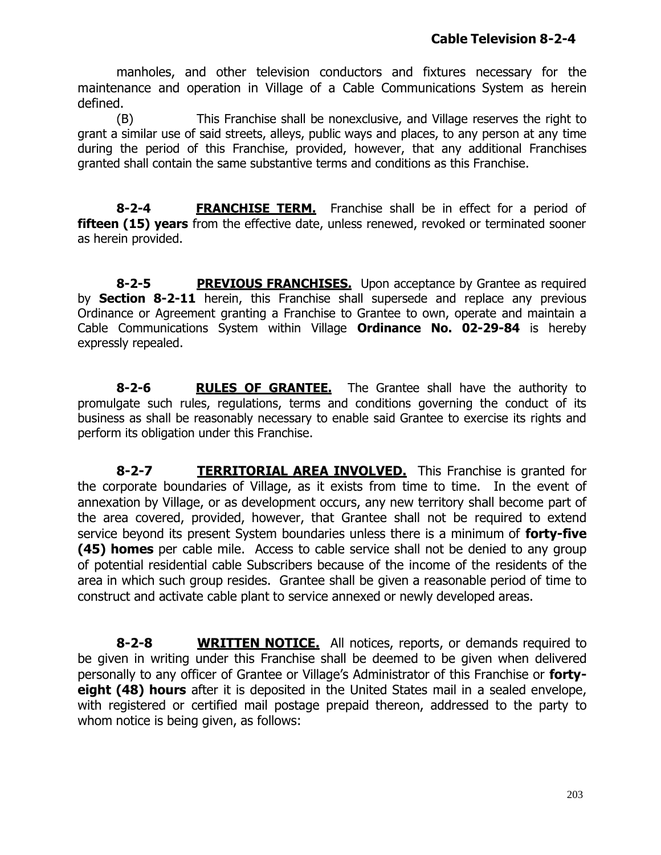manholes, and other television conductors and fixtures necessary for the maintenance and operation in Village of a Cable Communications System as herein defined.

(B) This Franchise shall be nonexclusive, and Village reserves the right to grant a similar use of said streets, alleys, public ways and places, to any person at any time during the period of this Franchise, provided, however, that any additional Franchises granted shall contain the same substantive terms and conditions as this Franchise.

**8-2-4 FRANCHISE TERM.** Franchise shall be in effect for a period of **fifteen (15) years** from the effective date, unless renewed, revoked or terminated sooner as herein provided.

**8-2-5 PREVIOUS FRANCHISES.** Upon acceptance by Grantee as required by **Section 8-2-11** herein, this Franchise shall supersede and replace any previous Ordinance or Agreement granting a Franchise to Grantee to own, operate and maintain a Cable Communications System within Village **Ordinance No. 02-29-84** is hereby expressly repealed.

**8-2-6 RULES OF GRANTEE.** The Grantee shall have the authority to promulgate such rules, regulations, terms and conditions governing the conduct of its business as shall be reasonably necessary to enable said Grantee to exercise its rights and perform its obligation under this Franchise.

**8-2-7 TERRITORIAL AREA INVOLVED.** This Franchise is granted for the corporate boundaries of Village, as it exists from time to time. In the event of annexation by Village, or as development occurs, any new territory shall become part of the area covered, provided, however, that Grantee shall not be required to extend service beyond its present System boundaries unless there is a minimum of **forty-five (45) homes** per cable mile. Access to cable service shall not be denied to any group of potential residential cable Subscribers because of the income of the residents of the area in which such group resides. Grantee shall be given a reasonable period of time to construct and activate cable plant to service annexed or newly developed areas.

**8-2-8 WRITTEN NOTICE.** All notices, reports, or demands required to be given in writing under this Franchise shall be deemed to be given when delivered personally to any officer of Grantee or Village's Administrator of this Franchise or **fortyeight (48) hours** after it is deposited in the United States mail in a sealed envelope, with registered or certified mail postage prepaid thereon, addressed to the party to whom notice is being given, as follows: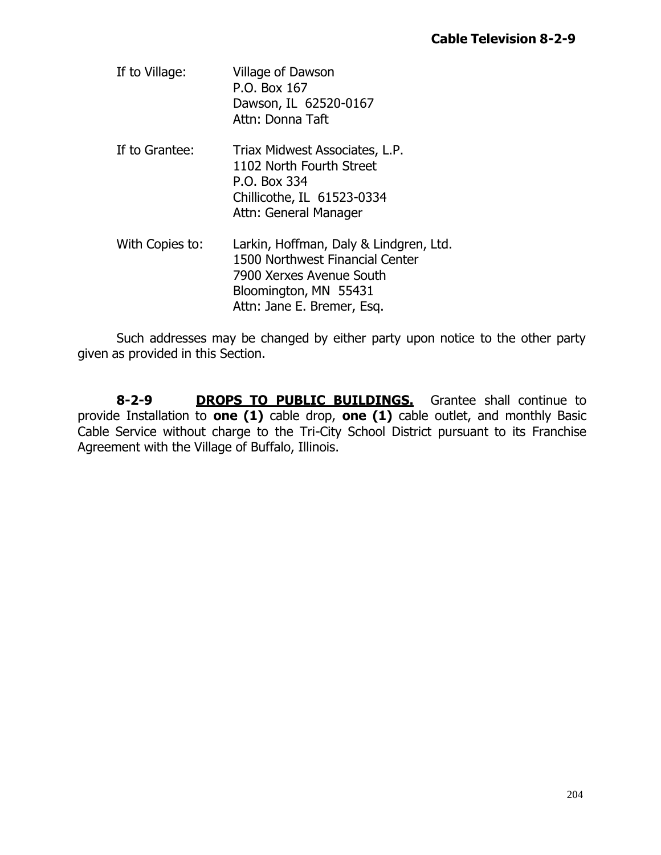| If to Village:  | Village of Dawson<br>P.O. Box 167<br>Dawson, IL 62520-0167<br>Attn: Donna Taft                                                                               |
|-----------------|--------------------------------------------------------------------------------------------------------------------------------------------------------------|
| If to Grantee:  | Triax Midwest Associates, L.P.<br>1102 North Fourth Street<br>P.O. Box 334<br>Chillicothe, IL 61523-0334<br>Attn: General Manager                            |
| With Copies to: | Larkin, Hoffman, Daly & Lindgren, Ltd.<br>1500 Northwest Financial Center<br>7900 Xerxes Avenue South<br>Bloomington, MN 55431<br>Attn: Jane E. Bremer, Esg. |

Such addresses may be changed by either party upon notice to the other party given as provided in this Section.

**8-2-9 DROPS TO PUBLIC BUILDINGS.** Grantee shall continue to provide Installation to **one (1)** cable drop, **one (1)** cable outlet, and monthly Basic Cable Service without charge to the Tri-City School District pursuant to its Franchise Agreement with the Village of Buffalo, Illinois.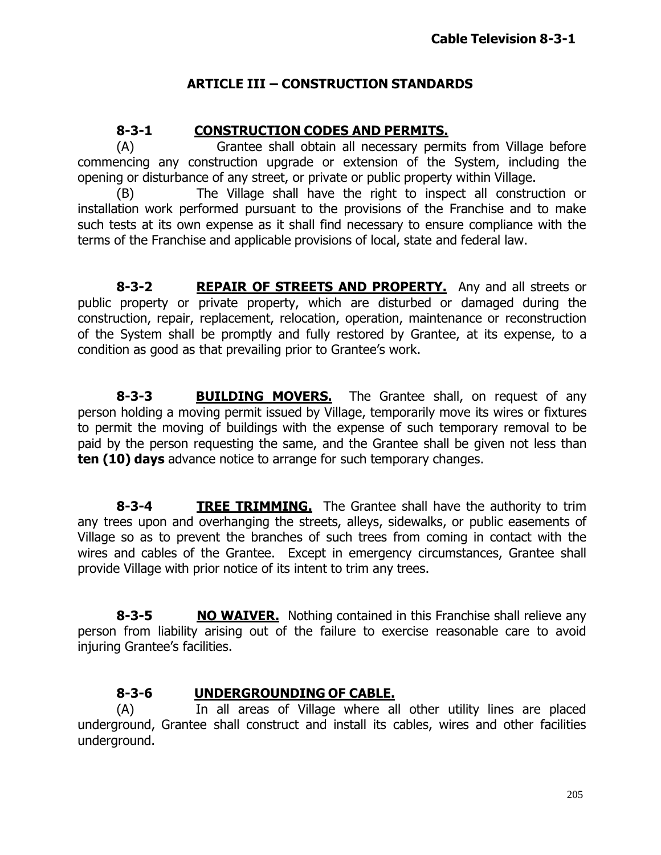### **ARTICLE III – CONSTRUCTION STANDARDS**

# **8-3-1 CONSTRUCTION CODES AND PERMITS.**

(A) Grantee shall obtain all necessary permits from Village before commencing any construction upgrade or extension of the System, including the opening or disturbance of any street, or private or public property within Village.

(B) The Village shall have the right to inspect all construction or installation work performed pursuant to the provisions of the Franchise and to make such tests at its own expense as it shall find necessary to ensure compliance with the terms of the Franchise and applicable provisions of local, state and federal law.

**8-3-2 REPAIR OF STREETS AND PROPERTY.** Any and all streets or public property or private property, which are disturbed or damaged during the construction, repair, replacement, relocation, operation, maintenance or reconstruction of the System shall be promptly and fully restored by Grantee, at its expense, to a condition as good as that prevailing prior to Grantee's work.

**8-3-3 BUILDING MOVERS.** The Grantee shall, on request of any person holding a moving permit issued by Village, temporarily move its wires or fixtures to permit the moving of buildings with the expense of such temporary removal to be paid by the person requesting the same, and the Grantee shall be given not less than **ten (10) days** advance notice to arrange for such temporary changes.

**8-3-4 TREE TRIMMING.** The Grantee shall have the authority to trim any trees upon and overhanging the streets, alleys, sidewalks, or public easements of Village so as to prevent the branches of such trees from coming in contact with the wires and cables of the Grantee. Except in emergency circumstances, Grantee shall provide Village with prior notice of its intent to trim any trees.

**8-3-5 NO WAIVER.** Nothing contained in this Franchise shall relieve any person from liability arising out of the failure to exercise reasonable care to avoid injuring Grantee's facilities.

#### **8-3-6 UNDERGROUNDING OF CABLE.**

(A) In all areas of Village where all other utility lines are placed underground, Grantee shall construct and install its cables, wires and other facilities underground.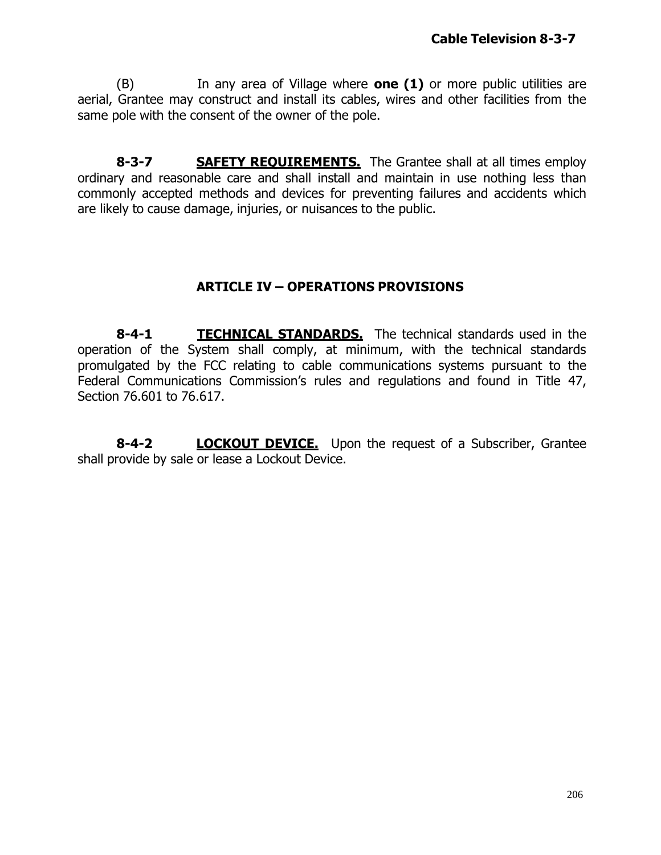(B) In any area of Village where **one (1)** or more public utilities are aerial, Grantee may construct and install its cables, wires and other facilities from the same pole with the consent of the owner of the pole.

**8-3-7 SAFETY REQUIREMENTS.** The Grantee shall at all times employ ordinary and reasonable care and shall install and maintain in use nothing less than commonly accepted methods and devices for preventing failures and accidents which are likely to cause damage, injuries, or nuisances to the public.

# **ARTICLE IV – OPERATIONS PROVISIONS**

**8-4-1 TECHNICAL STANDARDS.** The technical standards used in the operation of the System shall comply, at minimum, with the technical standards promulgated by the FCC relating to cable communications systems pursuant to the Federal Communications Commission's rules and regulations and found in Title 47, Section 76.601 to 76.617.

**8-4-2 LOCKOUT DEVICE.** Upon the request of a Subscriber, Grantee shall provide by sale or lease a Lockout Device.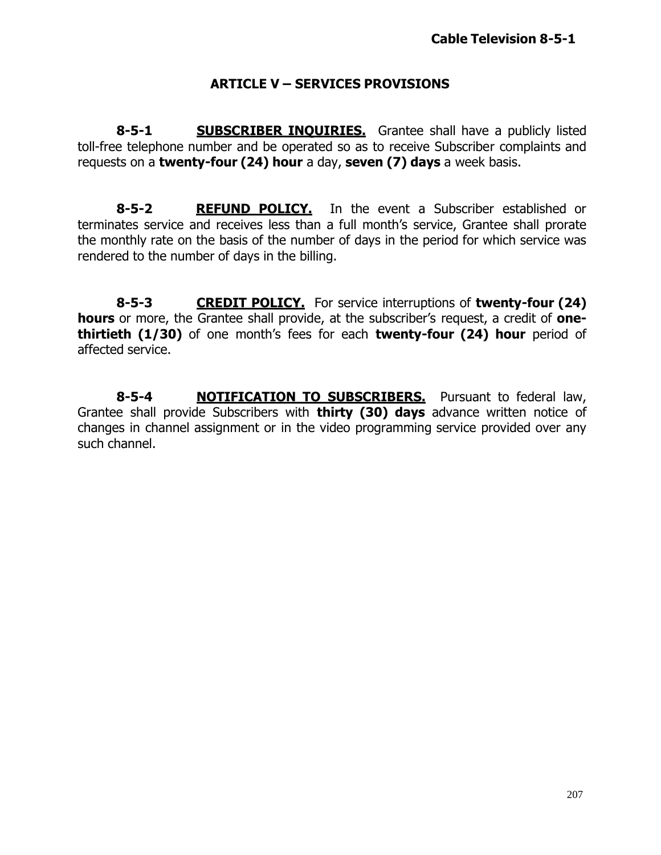#### **ARTICLE V – SERVICES PROVISIONS**

**8-5-1 SUBSCRIBER INQUIRIES.** Grantee shall have a publicly listed toll-free telephone number and be operated so as to receive Subscriber complaints and requests on a **twenty-four (24) hour** a day, **seven (7) days** a week basis.

**8-5-2 REFUND POLICY.** In the event a Subscriber established or terminates service and receives less than a full month's service, Grantee shall prorate the monthly rate on the basis of the number of days in the period for which service was rendered to the number of days in the billing.

**8-5-3 CREDIT POLICY.** For service interruptions of **twenty-four (24) hours** or more, the Grantee shall provide, at the subscriber's request, a credit of **onethirtieth (1/30)** of one month's fees for each **twenty-four (24) hour** period of affected service.

**8-5-4 NOTIFICATION TO SUBSCRIBERS.** Pursuant to federal law, Grantee shall provide Subscribers with **thirty (30) days** advance written notice of changes in channel assignment or in the video programming service provided over any such channel.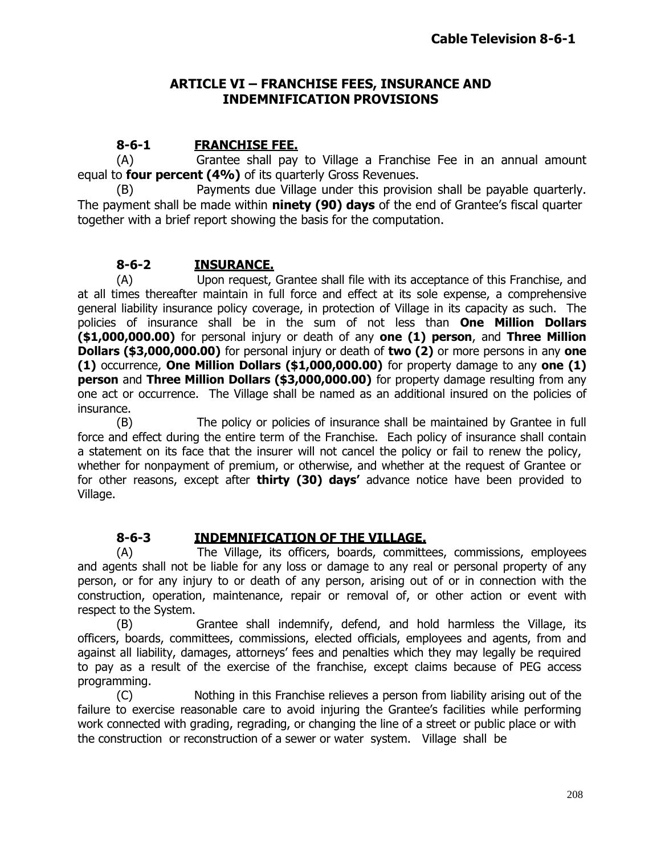#### **ARTICLE VI – FRANCHISE FEES, INSURANCE AND INDEMNIFICATION PROVISIONS**

#### **8-6-1 FRANCHISE FEE.**

(A) Grantee shall pay to Village a Franchise Fee in an annual amount equal to **four percent (4%)** of its quarterly Gross Revenues.

(B) Payments due Village under this provision shall be payable quarterly. The payment shall be made within **ninety (90) days** of the end of Grantee's fiscal quarter together with a brief report showing the basis for the computation.

### **8-6-2 INSURANCE.**

(A) Upon request, Grantee shall file with its acceptance of this Franchise, and at all times thereafter maintain in full force and effect at its sole expense, a comprehensive general liability insurance policy coverage, in protection of Village in its capacity as such. The policies of insurance shall be in the sum of not less than **One Million Dollars (\$1,000,000.00)** for personal injury or death of any **one (1) person**, and **Three Million Dollars (\$3,000,000.00)** for personal injury or death of **two (2)** or more persons in any **one (1)** occurrence, **One Million Dollars (\$1,000,000.00)** for property damage to any **one (1) person** and **Three Million Dollars (\$3,000,000.00)** for property damage resulting from any one act or occurrence. The Village shall be named as an additional insured on the policies of insurance.

(B) The policy or policies of insurance shall be maintained by Grantee in full force and effect during the entire term of the Franchise. Each policy of insurance shall contain a statement on its face that the insurer will not cancel the policy or fail to renew the policy, whether for nonpayment of premium, or otherwise, and whether at the request of Grantee or for other reasons, except after **thirty (30) days'** advance notice have been provided to Village.

#### **8-6-3 INDEMNIFICATION OF THE VILLAGE.**

(A) The Village, its officers, boards, committees, commissions, employees and agents shall not be liable for any loss or damage to any real or personal property of any person, or for any injury to or death of any person, arising out of or in connection with the construction, operation, maintenance, repair or removal of, or other action or event with respect to the System.

(B) Grantee shall indemnify, defend, and hold harmless the Village, its officers, boards, committees, commissions, elected officials, employees and agents, from and against all liability, damages, attorneys' fees and penalties which they may legally be required to pay as a result of the exercise of the franchise, except claims because of PEG access programming.

(C) Nothing in this Franchise relieves a person from liability arising out of the failure to exercise reasonable care to avoid injuring the Grantee's facilities while performing work connected with grading, regrading, or changing the line of a street or public place or with the construction or reconstruction of a sewer or water system. Village shall be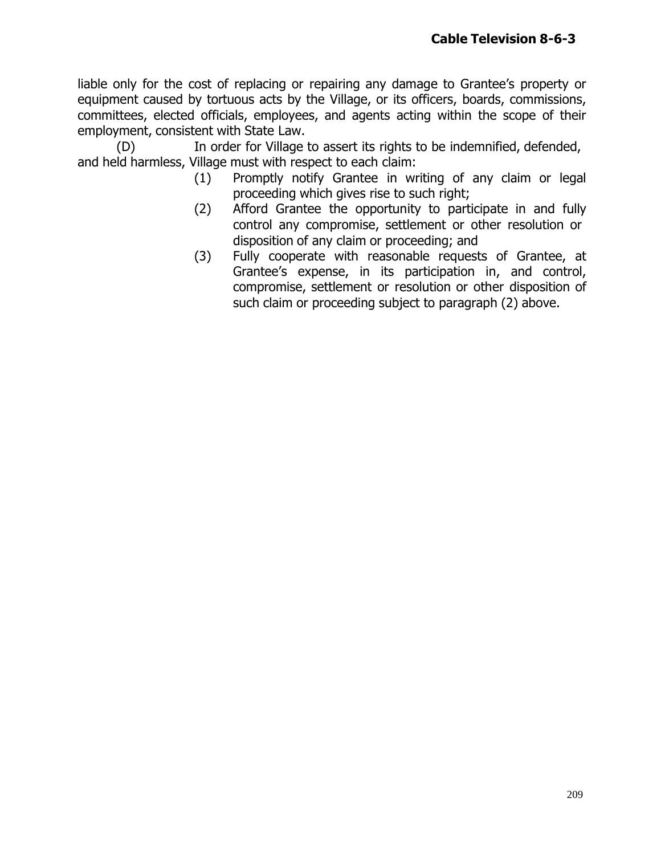liable only for the cost of replacing or repairing any damage to Grantee's property or equipment caused by tortuous acts by the Village, or its officers, boards, commissions, committees, elected officials, employees, and agents acting within the scope of their employment, consistent with State Law.

(D) In order for Village to assert its rights to be indemnified, defended, and held harmless, Village must with respect to each claim:

- (1) Promptly notify Grantee in writing of any claim or legal proceeding which gives rise to such right;
- (2) Afford Grantee the opportunity to participate in and fully control any compromise, settlement or other resolution or disposition of any claim or proceeding; and
- (3) Fully cooperate with reasonable requests of Grantee, at Grantee's expense, in its participation in, and control, compromise, settlement or resolution or other disposition of such claim or proceeding subject to paragraph (2) above.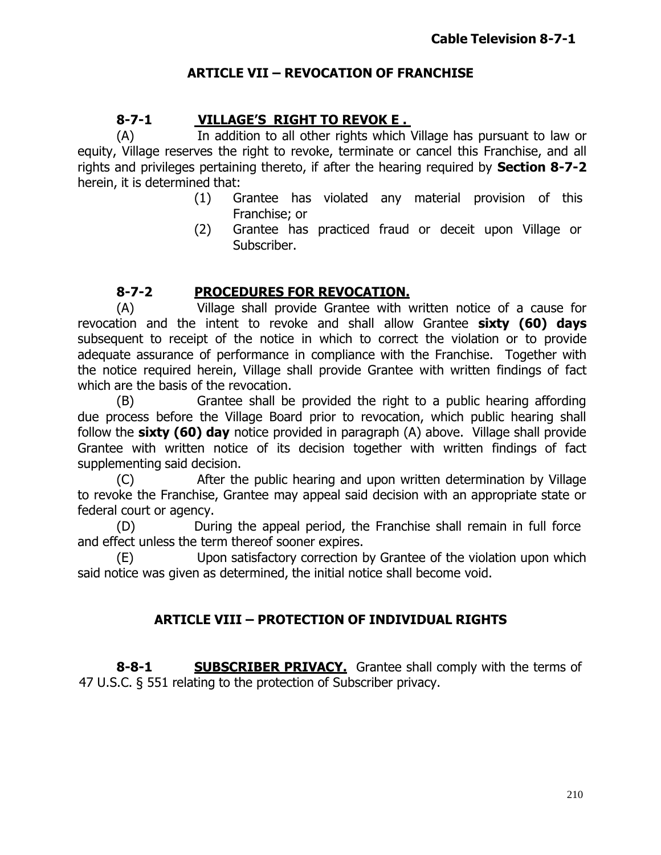### **ARTICLE VII – REVOCATION OF FRANCHISE**

### **8-7-1 VILLAGE'S RIGHT TO REVOK E .**

(A) In addition to all other rights which Village has pursuant to law or equity, Village reserves the right to revoke, terminate or cancel this Franchise, and all rights and privileges pertaining thereto, if after the hearing required by **Section 8-7-2**  herein, it is determined that:

- (1) Grantee has violated any material provision of this Franchise; or
- (2) Grantee has practiced fraud or deceit upon Village or Subscriber.

### **8-7-2 PROCEDURES FOR REVOCATION.**

(A) Village shall provide Grantee with written notice of a cause for revocation and the intent to revoke and shall allow Grantee **sixty (60) days**  subsequent to receipt of the notice in which to correct the violation or to provide adequate assurance of performance in compliance with the Franchise. Together with the notice required herein, Village shall provide Grantee with written findings of fact which are the basis of the revocation.

(B) Grantee shall be provided the right to a public hearing affording due process before the Village Board prior to revocation, which public hearing shall follow the **sixty (60) day** notice provided in paragraph (A) above. Village shall provide Grantee with written notice of its decision together with written findings of fact supplementing said decision.

(C) After the public hearing and upon written determination by Village to revoke the Franchise, Grantee may appeal said decision with an appropriate state or federal court or agency.

(D) During the appeal period, the Franchise shall remain in full force and effect unless the term thereof sooner expires.

(E) Upon satisfactory correction by Grantee of the violation upon which said notice was given as determined, the initial notice shall become void.

# **ARTICLE VIII – PROTECTION OF INDIVIDUAL RIGHTS**

**8-8-1 SUBSCRIBER PRIVACY.** Grantee shall comply with the terms of 47 U.S.C. § 551 relating to the protection of Subscriber privacy.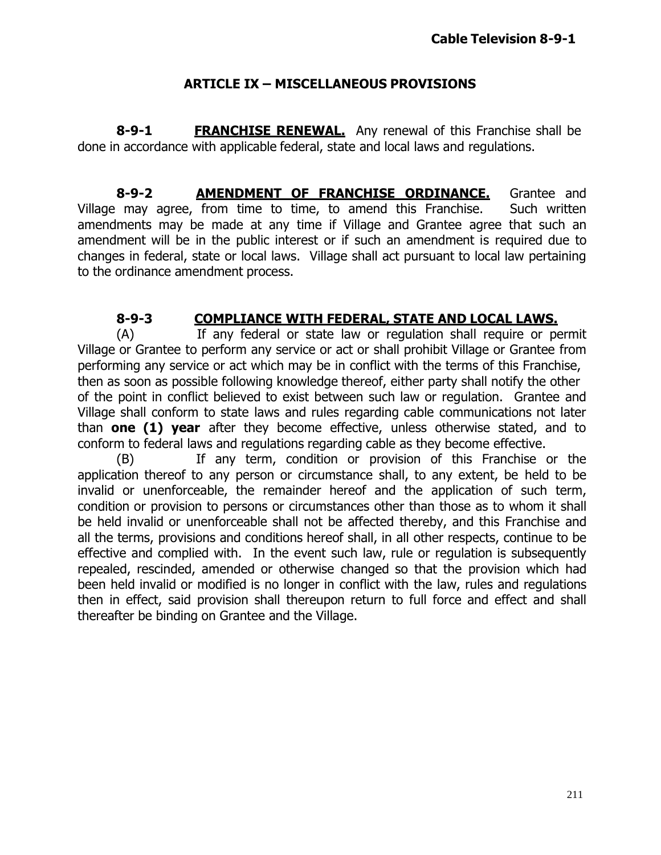#### **ARTICLE IX – MISCELLANEOUS PROVISIONS**

**8-9-1 FRANCHISE RENEWAL.** Any renewal of this Franchise shall be done in accordance with applicable federal, state and local laws and regulations.

**8-9-2 AMENDMENT OF FRANCHISE ORDINANCE.** Grantee and Village may agree, from time to time, to amend this Franchise. Such written amendments may be made at any time if Village and Grantee agree that such an amendment will be in the public interest or if such an amendment is required due to changes in federal, state or local laws. Village shall act pursuant to local law pertaining to the ordinance amendment process.

# **8-9-3 COMPLIANCE WITH FEDERAL, STATE AND LOCAL LAWS.**

(A) If any federal or state law or regulation shall require or permit Village or Grantee to perform any service or act or shall prohibit Village or Grantee from performing any service or act which may be in conflict with the terms of this Franchise, then as soon as possible following knowledge thereof, either party shall notify the other of the point in conflict believed to exist between such law or regulation. Grantee and Village shall conform to state laws and rules regarding cable communications not later than **one (1) year** after they become effective, unless otherwise stated, and to conform to federal laws and regulations regarding cable as they become effective.

(B) If any term, condition or provision of this Franchise or the application thereof to any person or circumstance shall, to any extent, be held to be invalid or unenforceable, the remainder hereof and the application of such term, condition or provision to persons or circumstances other than those as to whom it shall be held invalid or unenforceable shall not be affected thereby, and this Franchise and all the terms, provisions and conditions hereof shall, in all other respects, continue to be effective and complied with. In the event such law, rule or regulation is subsequently repealed, rescinded, amended or otherwise changed so that the provision which had been held invalid or modified is no longer in conflict with the law, rules and regulations then in effect, said provision shall thereupon return to full force and effect and shall thereafter be binding on Grantee and the Village.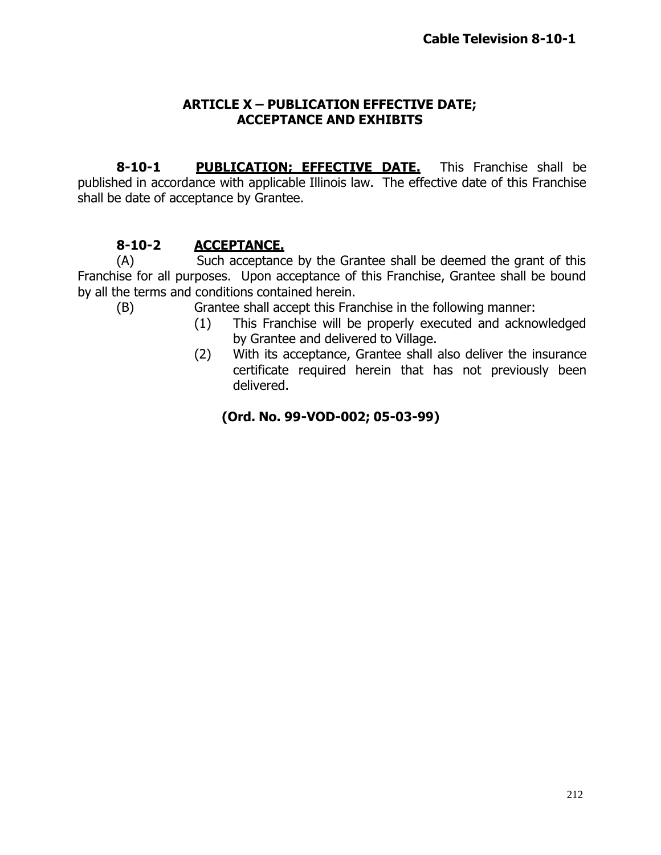#### **ARTICLE X – PUBLICATION EFFECTIVE DATE; ACCEPTANCE AND EXHIBITS**

**8-10-1 PUBLICATION; EFFECTIVE DATE.** This Franchise shall be published in accordance with applicable Illinois law. The effective date of this Franchise shall be date of acceptance by Grantee.

# **8-10-2 ACCEPTANCE.**

(A) Such acceptance by the Grantee shall be deemed the grant of this Franchise for all purposes. Upon acceptance of this Franchise, Grantee shall be bound by all the terms and conditions contained herein.

(B) Grantee shall accept this Franchise in the following manner:

- (1) This Franchise will be properly executed and acknowledged by Grantee and delivered to Village.
- (2) With its acceptance, Grantee shall also deliver the insurance certificate required herein that has not previously been delivered.

# **(Ord. No. 99-VOD-002; 05-03-99)**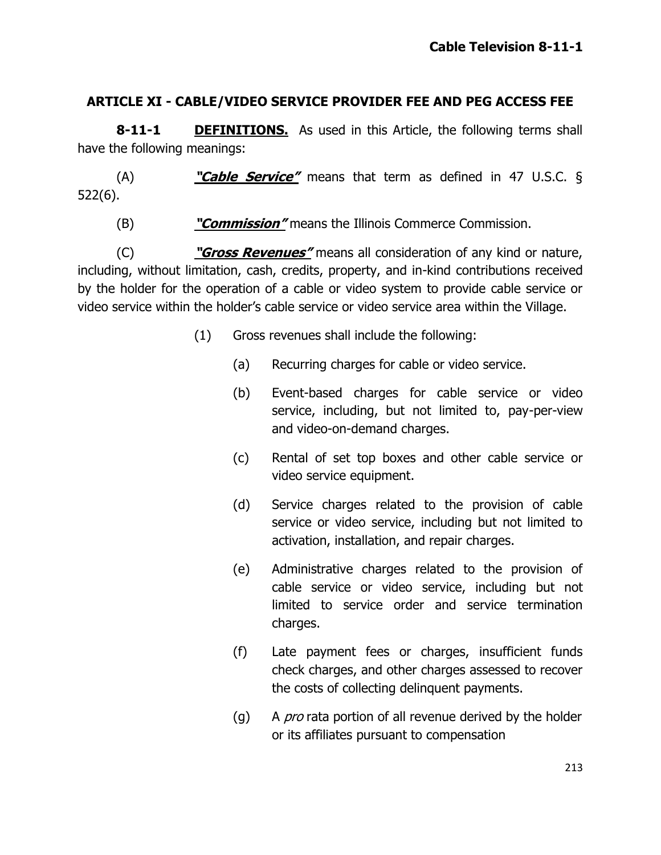### **ARTICLE XI - CABLE/VIDEO SERVICE PROVIDER FEE AND PEG ACCESS FEE**

**8-11-1 DEFINITIONS.** As used in this Article, the following terms shall have the following meanings:

(A) **"Cable Service"** means that term as defined in 47 U.S.C. § 522(6).

(B) **"Commission"** means the Illinois Commerce Commission.

(C) **"Gross Revenues"** means all consideration of any kind or nature, including, without limitation, cash, credits, property, and in-kind contributions received by the holder for the operation of a cable or video system to provide cable service or video service within the holder's cable service or video service area within the Village.

- (1) Gross revenues shall include the following:
	- (a) Recurring charges for cable or video service.
	- (b) Event-based charges for cable service or video service, including, but not limited to, pay-per-view and video-on-demand charges.
	- (c) Rental of set top boxes and other cable service or video service equipment.
	- (d) Service charges related to the provision of cable service or video service, including but not limited to activation, installation, and repair charges.
	- (e) Administrative charges related to the provision of cable service or video service, including but not limited to service order and service termination charges.
	- (f) Late payment fees or charges, insufficient funds check charges, and other charges assessed to recover the costs of collecting delinquent payments.
	- (g) A *pro* rata portion of all revenue derived by the holder or its affiliates pursuant to compensation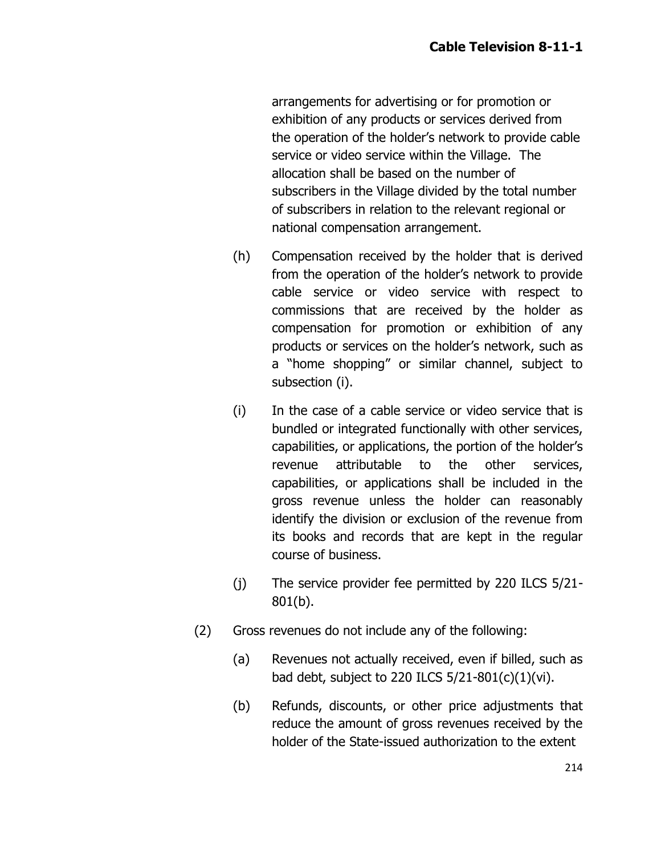arrangements for advertising or for promotion or exhibition of any products or services derived from the operation of the holder's network to provide cable service or video service within the Village. The allocation shall be based on the number of subscribers in the Village divided by the total number of subscribers in relation to the relevant regional or national compensation arrangement.

- (h) Compensation received by the holder that is derived from the operation of the holder's network to provide cable service or video service with respect to commissions that are received by the holder as compensation for promotion or exhibition of any products or services on the holder's network, such as a "home shopping" or similar channel, subject to subsection (i).
- (i) In the case of a cable service or video service that is bundled or integrated functionally with other services, capabilities, or applications, the portion of the holder's revenue attributable to the other services, capabilities, or applications shall be included in the gross revenue unless the holder can reasonably identify the division or exclusion of the revenue from its books and records that are kept in the regular course of business.
- (j) The service provider fee permitted by 220 ILCS 5/21- 801(b).
- (2) Gross revenues do not include any of the following:
	- (a) Revenues not actually received, even if billed, such as bad debt, subject to 220 ILCS 5/21-801(c)(1)(vi).
	- (b) Refunds, discounts, or other price adjustments that reduce the amount of gross revenues received by the holder of the State-issued authorization to the extent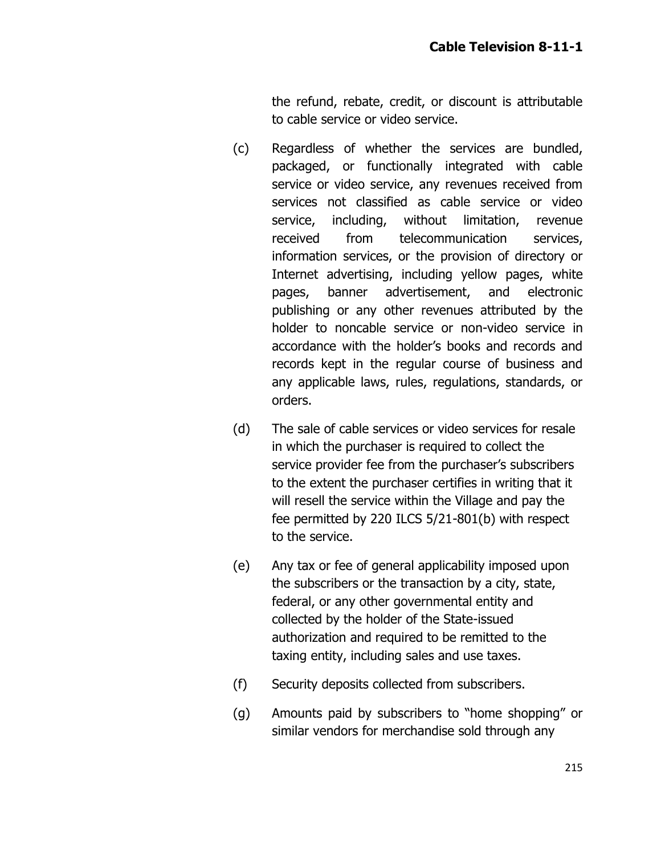the refund, rebate, credit, or discount is attributable to cable service or video service.

- (c) Regardless of whether the services are bundled, packaged, or functionally integrated with cable service or video service, any revenues received from services not classified as cable service or video service, including, without limitation, revenue received from telecommunication services, information services, or the provision of directory or Internet advertising, including yellow pages, white pages, banner advertisement, and electronic publishing or any other revenues attributed by the holder to noncable service or non-video service in accordance with the holder's books and records and records kept in the regular course of business and any applicable laws, rules, regulations, standards, or orders.
- (d) The sale of cable services or video services for resale in which the purchaser is required to collect the service provider fee from the purchaser's subscribers to the extent the purchaser certifies in writing that it will resell the service within the Village and pay the fee permitted by 220 ILCS 5/21-801(b) with respect to the service.
- (e) Any tax or fee of general applicability imposed upon the subscribers or the transaction by a city, state, federal, or any other governmental entity and collected by the holder of the State-issued authorization and required to be remitted to the taxing entity, including sales and use taxes.
- (f) Security deposits collected from subscribers.
- (g) Amounts paid by subscribers to "home shopping" or similar vendors for merchandise sold through any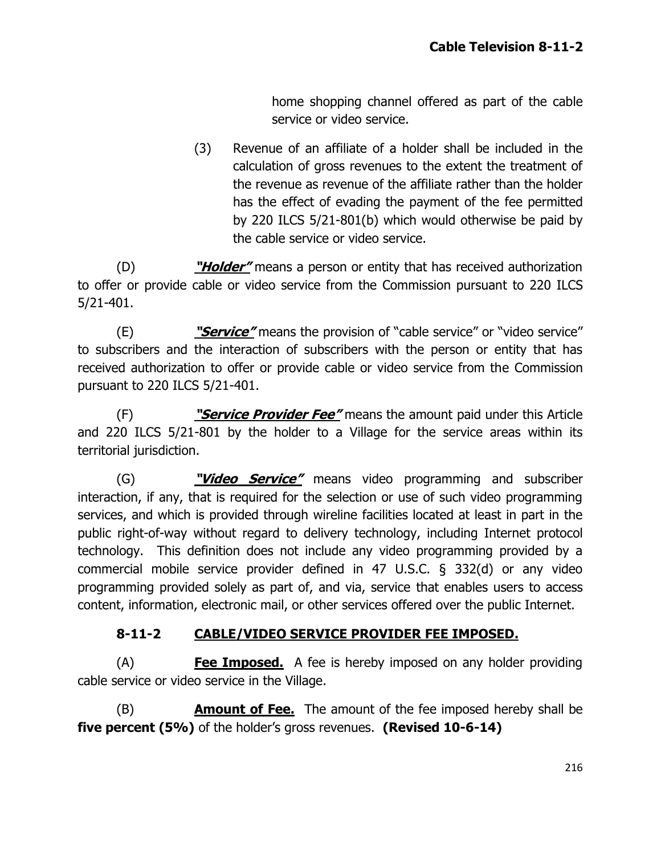home shopping channel offered as part of the cable service or video service.

(3) Revenue of an affiliate of a holder shall be included in the calculation of gross revenues to the extent the treatment of the revenue as revenue of the affiliate rather than the holder has the effect of evading the payment of the fee permitted by 220 ILCS 5/21-801(b) which would otherwise be paid by the cable service or video service.

(D) **"Holder"** means a person or entity that has received authorization to offer or provide cable or video service from the Commission pursuant to 220 ILCS 5/21-401.

(E) **"Service"** means the provision of "cable service" or "video service" to subscribers and the interaction of subscribers with the person or entity that has received authorization to offer or provide cable or video service from the Commission pursuant to 220 ILCS 5/21-401.

(F) **"Service Provider Fee"** means the amount paid under this Article and 220 ILCS 5/21-801 by the holder to a Village for the service areas within its territorial jurisdiction.

(G) **"Video Service"** means video programming and subscriber interaction, if any, that is required for the selection or use of such video programming services, and which is provided through wireline facilities located at least in part in the public right-of-way without regard to delivery technology, including Internet protocol technology. This definition does not include any video programming provided by a commercial mobile service provider defined in 47 U.S.C. § 332(d) or any video programming provided solely as part of, and via, service that enables users to access content, information, electronic mail, or other services offered over the public Internet.

# **8-11-2 CABLE/VIDEO SERVICE PROVIDER FEE IMPOSED.**

(A) **Fee Imposed.** A fee is hereby imposed on any holder providing cable service or video service in the Village.

(B) **Amount of Fee.** The amount of the fee imposed hereby shall be **five percent (5%)** of the holder's gross revenues. **(Revised 10-6-14)**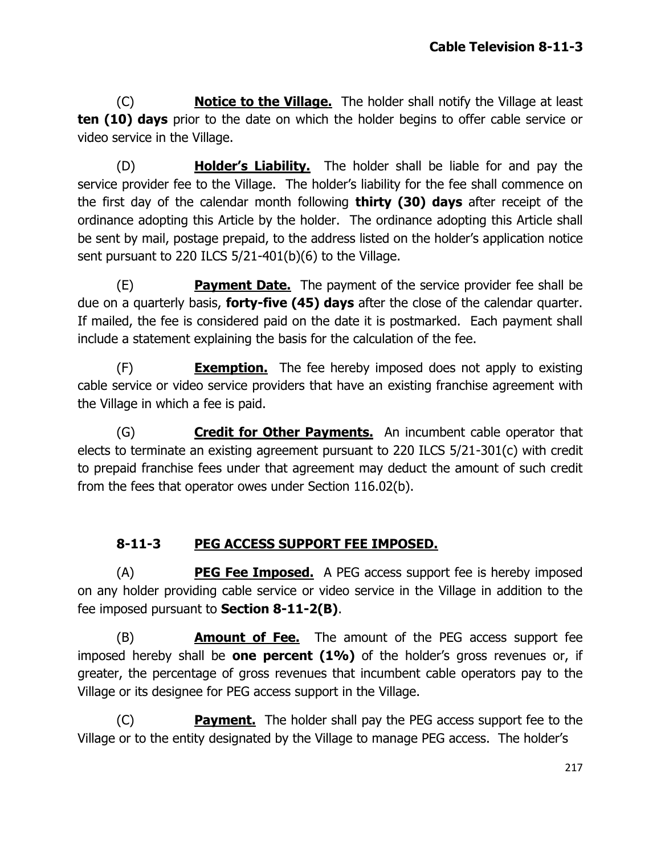(C) **Notice to the Village.** The holder shall notify the Village at least **ten (10) days** prior to the date on which the holder begins to offer cable service or video service in the Village.

(D) **Holder's Liability.** The holder shall be liable for and pay the service provider fee to the Village. The holder's liability for the fee shall commence on the first day of the calendar month following **thirty (30) days** after receipt of the ordinance adopting this Article by the holder. The ordinance adopting this Article shall be sent by mail, postage prepaid, to the address listed on the holder's application notice sent pursuant to 220 ILCS 5/21-401(b)(6) to the Village.

(E) **Payment Date.** The payment of the service provider fee shall be due on a quarterly basis, **forty-five (45) days** after the close of the calendar quarter. If mailed, the fee is considered paid on the date it is postmarked. Each payment shall include a statement explaining the basis for the calculation of the fee.

(F) **Exemption.** The fee hereby imposed does not apply to existing cable service or video service providers that have an existing franchise agreement with the Village in which a fee is paid.

(G) **Credit for Other Payments.** An incumbent cable operator that elects to terminate an existing agreement pursuant to 220 ILCS 5/21-301(c) with credit to prepaid franchise fees under that agreement may deduct the amount of such credit from the fees that operator owes under Section 116.02(b).

# **8-11-3 PEG ACCESS SUPPORT FEE IMPOSED.**

(A) **PEG Fee Imposed.** A PEG access support fee is hereby imposed on any holder providing cable service or video service in the Village in addition to the fee imposed pursuant to **Section 8-11-2(B)**.

(B) **Amount of Fee.** The amount of the PEG access support fee imposed hereby shall be **one percent (1%)** of the holder's gross revenues or, if greater, the percentage of gross revenues that incumbent cable operators pay to the Village or its designee for PEG access support in the Village.

(C) **Payment.** The holder shall pay the PEG access support fee to the Village or to the entity designated by the Village to manage PEG access. The holder's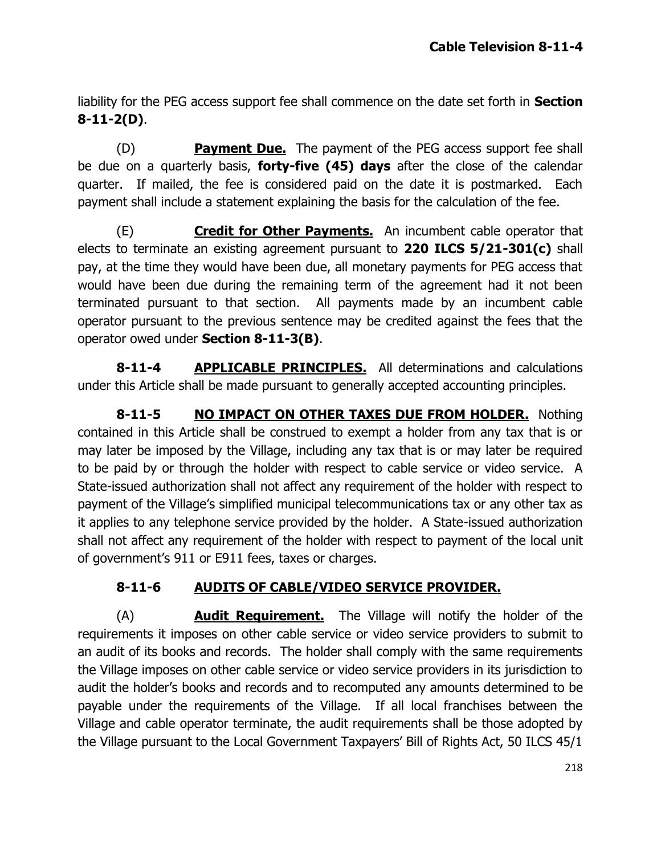liability for the PEG access support fee shall commence on the date set forth in **Section 8-11-2(D)**.

(D) **Payment Due.** The payment of the PEG access support fee shall be due on a quarterly basis, **forty-five (45) days** after the close of the calendar quarter. If mailed, the fee is considered paid on the date it is postmarked. Each payment shall include a statement explaining the basis for the calculation of the fee.

(E) **Credit for Other Payments.** An incumbent cable operator that elects to terminate an existing agreement pursuant to **220 ILCS 5/21-301(c)** shall pay, at the time they would have been due, all monetary payments for PEG access that would have been due during the remaining term of the agreement had it not been terminated pursuant to that section. All payments made by an incumbent cable operator pursuant to the previous sentence may be credited against the fees that the operator owed under **Section 8-11-3(B)**.

**8-11-4 APPLICABLE PRINCIPLES.** All determinations and calculations under this Article shall be made pursuant to generally accepted accounting principles.

**8-11-5 NO IMPACT ON OTHER TAXES DUE FROM HOLDER.** Nothing contained in this Article shall be construed to exempt a holder from any tax that is or may later be imposed by the Village, including any tax that is or may later be required to be paid by or through the holder with respect to cable service or video service. A State-issued authorization shall not affect any requirement of the holder with respect to payment of the Village's simplified municipal telecommunications tax or any other tax as it applies to any telephone service provided by the holder. A State-issued authorization shall not affect any requirement of the holder with respect to payment of the local unit of government's 911 or E911 fees, taxes or charges.

# **8-11-6 AUDITS OF CABLE/VIDEO SERVICE PROVIDER.**

(A) **Audit Requirement.** The Village will notify the holder of the requirements it imposes on other cable service or video service providers to submit to an audit of its books and records. The holder shall comply with the same requirements the Village imposes on other cable service or video service providers in its jurisdiction to audit the holder's books and records and to recomputed any amounts determined to be payable under the requirements of the Village. If all local franchises between the Village and cable operator terminate, the audit requirements shall be those adopted by the Village pursuant to the Local Government Taxpayers' Bill of Rights Act, 50 ILCS 45/1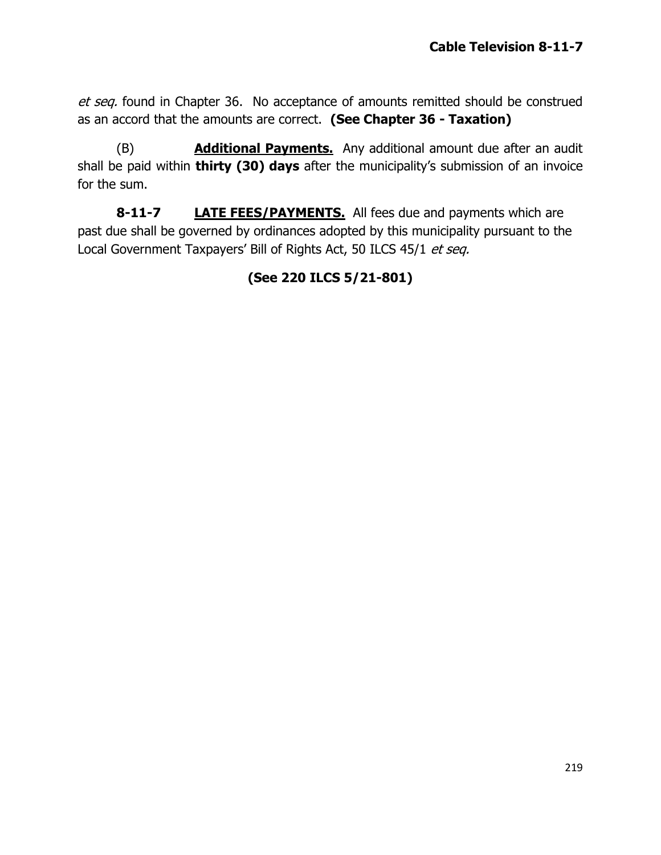et seq. found in Chapter 36. No acceptance of amounts remitted should be construed as an accord that the amounts are correct. **(See Chapter 36 - Taxation)**

(B) **Additional Payments.** Any additional amount due after an audit shall be paid within **thirty (30) days** after the municipality's submission of an invoice for the sum.

**8-11-7 LATE FEES/PAYMENTS.** All fees due and payments which are past due shall be governed by ordinances adopted by this municipality pursuant to the Local Government Taxpayers' Bill of Rights Act, 50 ILCS 45/1 et seq.

# **(See 220 ILCS 5/21-801)**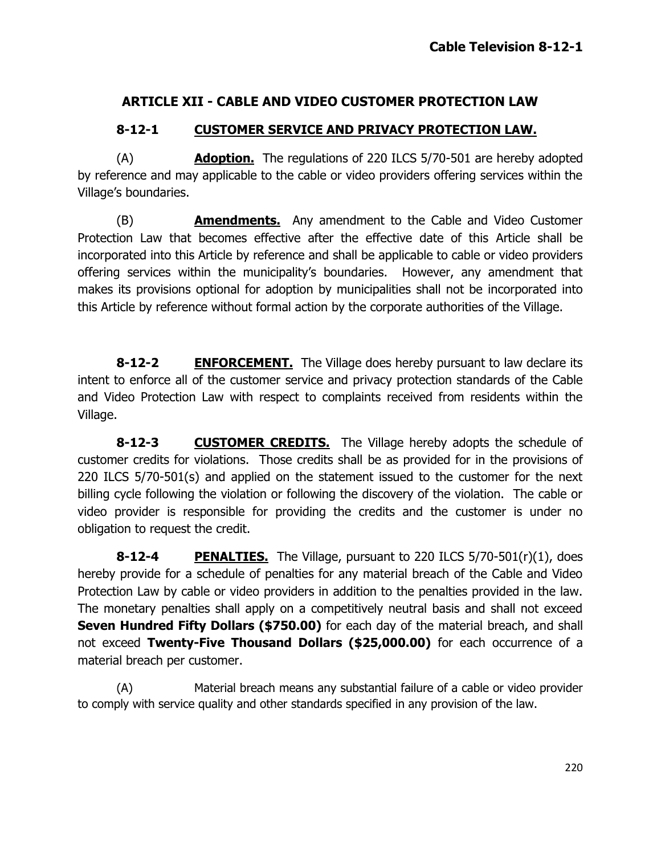# **ARTICLE XII - CABLE AND VIDEO CUSTOMER PROTECTION LAW**

### **8-12-1 CUSTOMER SERVICE AND PRIVACY PROTECTION LAW.**

(A) **Adoption.** The regulations of 220 ILCS 5/70-501 are hereby adopted by reference and may applicable to the cable or video providers offering services within the Village's boundaries.

(B) **Amendments.** Any amendment to the Cable and Video Customer Protection Law that becomes effective after the effective date of this Article shall be incorporated into this Article by reference and shall be applicable to cable or video providers offering services within the municipality's boundaries. However, any amendment that makes its provisions optional for adoption by municipalities shall not be incorporated into this Article by reference without formal action by the corporate authorities of the Village.

**8-12-2 ENFORCEMENT.** The Village does hereby pursuant to law declare its intent to enforce all of the customer service and privacy protection standards of the Cable and Video Protection Law with respect to complaints received from residents within the Village.

**8-12-3 CUSTOMER CREDITS.** The Village hereby adopts the schedule of customer credits for violations. Those credits shall be as provided for in the provisions of 220 ILCS 5/70-501(s) and applied on the statement issued to the customer for the next billing cycle following the violation or following the discovery of the violation. The cable or video provider is responsible for providing the credits and the customer is under no obligation to request the credit.

**8-12-4 PENALTIES.** The Village, pursuant to 220 ILCS 5/70-501(r)(1), does hereby provide for a schedule of penalties for any material breach of the Cable and Video Protection Law by cable or video providers in addition to the penalties provided in the law. The monetary penalties shall apply on a competitively neutral basis and shall not exceed **Seven Hundred Fifty Dollars (\$750.00)** for each day of the material breach, and shall not exceed **Twenty-Five Thousand Dollars (\$25,000.00)** for each occurrence of a material breach per customer.

(A) Material breach means any substantial failure of a cable or video provider to comply with service quality and other standards specified in any provision of the law.